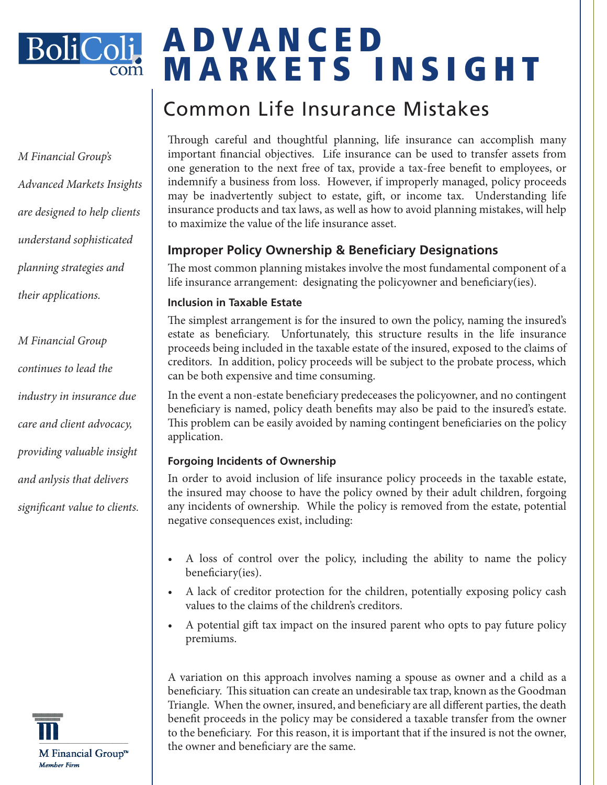

*M Financial Group's Advanced Markets Insights are designed to help clients understand sophisticated planning strategies and their applications.* 

*M Financial Group continues to lead the industry in insurance due care and client advocacy, providing valuable insight and anlysis that delivers significant value to clients.* 



# A D V A N C E D MARKETS INSIGHT

# Common Life Insurance Mistakes

Through careful and thoughtful planning, life insurance can accomplish many important financial objectives. Life insurance can be used to transfer assets from one generation to the next free of tax, provide a tax-free benefit to employees, or indemnify a business from loss. However, if improperly managed, policy proceeds may be inadvertently subject to estate, gift, or income tax. Understanding life insurance products and tax laws, as well as how to avoid planning mistakes, will help to maximize the value of the life insurance asset.

# **Improper Policy Ownership & Beneficiary Designations**

The most common planning mistakes involve the most fundamental component of a life insurance arrangement: designating the policyowner and beneficiary(ies).

#### **Inclusion in Taxable Estate**

The simplest arrangement is for the insured to own the policy, naming the insured's estate as beneficiary. Unfortunately, this structure results in the life insurance proceeds being included in the taxable estate of the insured, exposed to the claims of creditors. In addition, policy proceeds will be subject to the probate process, which can be both expensive and time consuming.

In the event a non-estate beneficiary predeceases the policyowner, and no contingent beneficiary is named, policy death benefits may also be paid to the insured's estate. This problem can be easily avoided by naming contingent beneficiaries on the policy application.

### **Forgoing Incidents of Ownership**

In order to avoid inclusion of life insurance policy proceeds in the taxable estate, the insured may choose to have the policy owned by their adult children, forgoing any incidents of ownership. While the policy is removed from the estate, potential negative consequences exist, including:

- A loss of control over the policy, including the ability to name the policy beneficiary(ies).
- A lack of creditor protection for the children, potentially exposing policy cash values to the claims of the children's creditors.
- A potential gift tax impact on the insured parent who opts to pay future policy premiums.

A variation on this approach involves naming a spouse as owner and a child as a beneficiary. This situation can create an undesirable tax trap, known as the Goodman Triangle. When the owner, insured, and beneficiary are all different parties, the death benefit proceeds in the policy may be considered a taxable transfer from the owner to the beneficiary. For this reason, it is important that if the insured is not the owner, the owner and beneficiary are the same.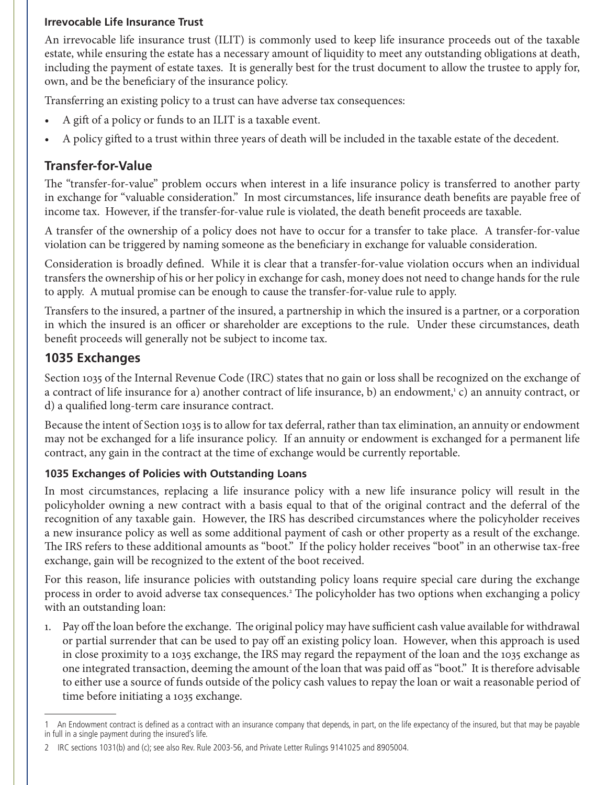#### **Irrevocable Life Insurance Trust**

An irrevocable life insurance trust (ILIT) is commonly used to keep life insurance proceeds out of the taxable estate, while ensuring the estate has a necessary amount of liquidity to meet any outstanding obligations at death, including the payment of estate taxes. It is generally best for the trust document to allow the trustee to apply for, own, and be the beneficiary of the insurance policy.

Transferring an existing policy to a trust can have adverse tax consequences:

- A gift of a policy or funds to an ILIT is a taxable event.
- A policy gifted to a trust within three years of death will be included in the taxable estate of the decedent.

# **Transfer-for-Value**

The "transfer-for-value" problem occurs when interest in a life insurance policy is transferred to another party in exchange for "valuable consideration." In most circumstances, life insurance death benefits are payable free of income tax. However, if the transfer-for-value rule is violated, the death benefit proceeds are taxable.

A transfer of the ownership of a policy does not have to occur for a transfer to take place. A transfer-for-value violation can be triggered by naming someone as the beneficiary in exchange for valuable consideration.

Consideration is broadly defined. While it is clear that a transfer-for-value violation occurs when an individual transfers the ownership of his or her policy in exchange for cash, money does not need to change hands for the rule to apply. A mutual promise can be enough to cause the transfer-for-value rule to apply.

Transfers to the insured, a partner of the insured, a partnership in which the insured is a partner, or a corporation in which the insured is an officer or shareholder are exceptions to the rule. Under these circumstances, death benefit proceeds will generally not be subject to income tax.

## **1035 Exchanges**

Section 1035 of the Internal Revenue Code (IRC) states that no gain or loss shall be recognized on the exchange of a contract of life insurance for a) another contract of life insurance, b) an endowment,1 c) an annuity contract, or d) a qualified long-term care insurance contract.

Because the intent of Section 1035 is to allow for tax deferral, rather than tax elimination, an annuity or endowment may not be exchanged for a life insurance policy. If an annuity or endowment is exchanged for a permanent life contract, any gain in the contract at the time of exchange would be currently reportable.

#### **1035 Exchanges of Policies with Outstanding Loans**

In most circumstances, replacing a life insurance policy with a new life insurance policy will result in the policyholder owning a new contract with a basis equal to that of the original contract and the deferral of the recognition of any taxable gain. However, the IRS has described circumstances where the policyholder receives a new insurance policy as well as some additional payment of cash or other property as a result of the exchange. The IRS refers to these additional amounts as "boot." If the policy holder receives "boot" in an otherwise tax-free exchange, gain will be recognized to the extent of the boot received.

For this reason, life insurance policies with outstanding policy loans require special care during the exchange process in order to avoid adverse tax consequences.<sup>2</sup> The policyholder has two options when exchanging a policy with an outstanding loan:

1. Pay off the loan before the exchange. The original policy may have sufficient cash value available for withdrawal or partial surrender that can be used to pay off an existing policy loan. However, when this approach is used in close proximity to a 1035 exchange, the IRS may regard the repayment of the loan and the 1035 exchange as one integrated transaction, deeming the amount of the loan that was paid off as "boot." It is therefore advisable to either use a source of funds outside of the policy cash values to repay the loan or wait a reasonable period of time before initiating a 1035 exchange.

<sup>1</sup> An Endowment contract is defined as a contract with an insurance company that depends, in part, on the life expectancy of the insured, but that may be payable in full in a single payment during the insured's life.

<sup>2</sup> IRC sections 1031(b) and (c); see also Rev. Rule 2003-56, and Private Letter Rulings 9141025 and 8905004.